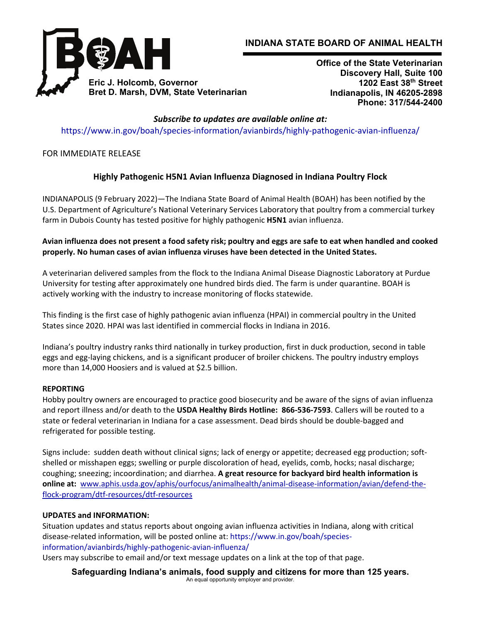

# **INDIANA STATE BOARD OF ANIMAL HEALTH**

**Office of the State Veterinarian Discovery Hall, Suite 100 1202 East 38th Street Indianapolis, IN 46205-2898 Phone: 317/544-2400** 

*Subscribe to updates are available online at:* https://www.in.gov/boah/species-information/avianbirds/highly-pathogenic-avian-influenza/

FOR IMMEDIATE RELEASE

## **Highly Pathogenic H5N1 Avian Influenza Diagnosed in Indiana Poultry Flock**

INDIANAPOLIS (9 February 2022)—The Indiana State Board of Animal Health (BOAH) has been notified by the U.S. Department of Agriculture's National Veterinary Services Laboratory that poultry from a commercial turkey farm in Dubois County has tested positive for highly pathogenic **H5N1** avian influenza.

### Avian influenza does not present a food safety risk; poultry and eggs are safe to eat when handled and cooked **properly. No human cases of avian influenza viruses have been detected in the United States.**

A veterinarian delivered samples from the flock to the Indiana Animal Disease Diagnostic Laboratory at Purdue University for testing after approximately one hundred birds died. The farm is under quarantine. BOAH is actively working with the industry to increase monitoring of flocks statewide.

This finding is the first case of highly pathogenic avian influenza (HPAI) in commercial poultry in the United States since 2020. HPAI was last identified in commercial flocks in Indiana in 2016.

Indiana's poultry industry ranks third nationally in turkey production, first in duck production, second in table eggs and egg‐laying chickens, and is a significant producer of broiler chickens. The poultry industry employs more than 14,000 Hoosiers and is valued at \$2.5 billion.

#### **REPORTING**

Hobby poultry owners are encouraged to practice good biosecurity and be aware of the signs of avian influenza and report illness and/or death to the **USDA Healthy Birds Hotline: 866‐536‐7593**. Callers will be routed to a state or federal veterinarian in Indiana for a case assessment. Dead birds should be double‐bagged and refrigerated for possible testing.

Signs include: sudden death without clinical signs; lack of energy or appetite; decreased egg production; soft‐ shelled or misshapen eggs; swelling or purple discoloration of head, eyelids, comb, hocks; nasal discharge; coughing; sneezing; incoordination; and diarrhea. **A great resource for backyard bird health information is online at:** www.aphis.usda.gov/aphis/ourfocus/animalhealth/animal-disease-information/avian/defend-theflock‐program/dtf‐resources/dtf‐resources

### **UPDATES and INFORMATION:**

Situation updates and status reports about ongoing avian influenza activities in Indiana, along with critical disease‐related information, will be posted online at: https://www.in.gov/boah/species‐ information/avianbirds/highly‐pathogenic‐avian‐influenza/

Users may subscribe to email and/or text message updates on a link at the top of that page.

**Safeguarding Indiana's animals, food supply and citizens for more than 125 years.**  An equal opportunity employer and provider.